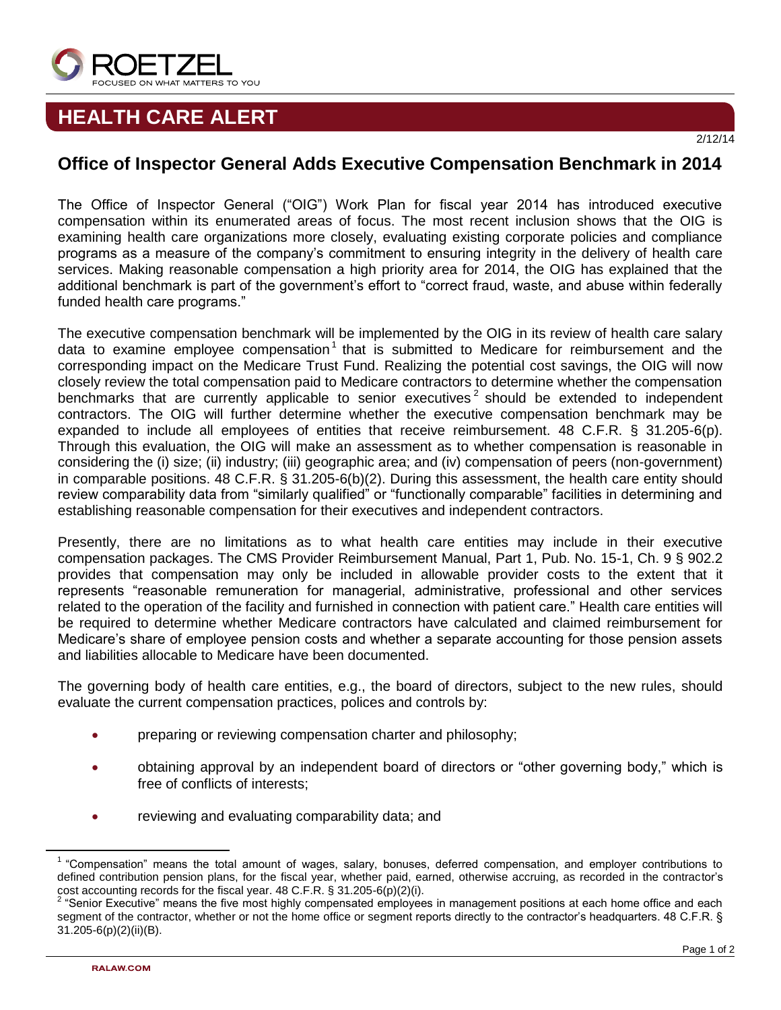

## **HEALTH CARE ALERT**

## **Office of Inspector General Adds Executive Compensation Benchmark in 2014**

The Office of Inspector General ("OIG") Work Plan for fiscal year 2014 has introduced executive compensation within its enumerated areas of focus. The most recent inclusion shows that the OIG is examining health care organizations more closely, evaluating existing corporate policies and compliance programs as a measure of the company's commitment to ensuring integrity in the delivery of health care services. Making reasonable compensation a high priority area for 2014, the OIG has explained that the additional benchmark is part of the government's effort to "correct fraud, waste, and abuse within federally funded health care programs."

The executive compensation benchmark will be implemented by the OIG in its review of health care salary data to examine employee compensation<sup>1</sup> that is submitted to Medicare for reimbursement and the corresponding impact on the Medicare Trust Fund. Realizing the potential cost savings, the OIG will now closely review the total compensation paid to Medicare contractors to determine whether the compensation benchmarks that are currently applicable to senior executives<sup>2</sup> should be extended to independent contractors. The OIG will further determine whether the executive compensation benchmark may be expanded to include all employees of entities that receive reimbursement. 48 C.F.R. § 31.205-6(p). Through this evaluation, the OIG will make an assessment as to whether compensation is reasonable in considering the (i) size; (ii) industry; (iii) geographic area; and (iv) compensation of peers (non-government) in comparable positions. 48 C.F.R. § 31.205-6(b)(2). During this assessment, the health care entity should review comparability data from "similarly qualified" or "functionally comparable" facilities in determining and establishing reasonable compensation for their executives and independent contractors.

Presently, there are no limitations as to what health care entities may include in their executive compensation packages. The CMS Provider Reimbursement Manual, Part 1, Pub. No. 15-1, Ch. 9 § 902.2 provides that compensation may only be included in allowable provider costs to the extent that it represents "reasonable remuneration for managerial, administrative, professional and other services related to the operation of the facility and furnished in connection with patient care." Health care entities will be required to determine whether Medicare contractors have calculated and claimed reimbursement for Medicare's share of employee pension costs and whether a separate accounting for those pension assets and liabilities allocable to Medicare have been documented.

The governing body of health care entities, e.g., the board of directors, subject to the new rules, should evaluate the current compensation practices, polices and controls by:

- **•** preparing or reviewing compensation charter and philosophy;
- obtaining approval by an independent board of directors or "other governing body," which is free of conflicts of interests;
- reviewing and evaluating comparability data; and

 $\overline{\phantom{a}}$ 

<sup>&</sup>lt;sup>1</sup> "Compensation" means the total amount of wages, salary, bonuses, deferred compensation, and employer contributions to defined contribution pension plans, for the fiscal year, whether paid, earned, otherwise accruing, as recorded in the contractor's

cost accounting records for the fiscal year. 48 C.F.R. § 31.205-6(p)(2)(i).<br><sup>2</sup> "Senior Executive" means the five most highly compensated employees in management positions at each home office and each segment of the contractor, whether or not the home office or segment reports directly to the contractor's headquarters. 48 C.F.R. § 31.205-6(p)(2)(ii)(B).